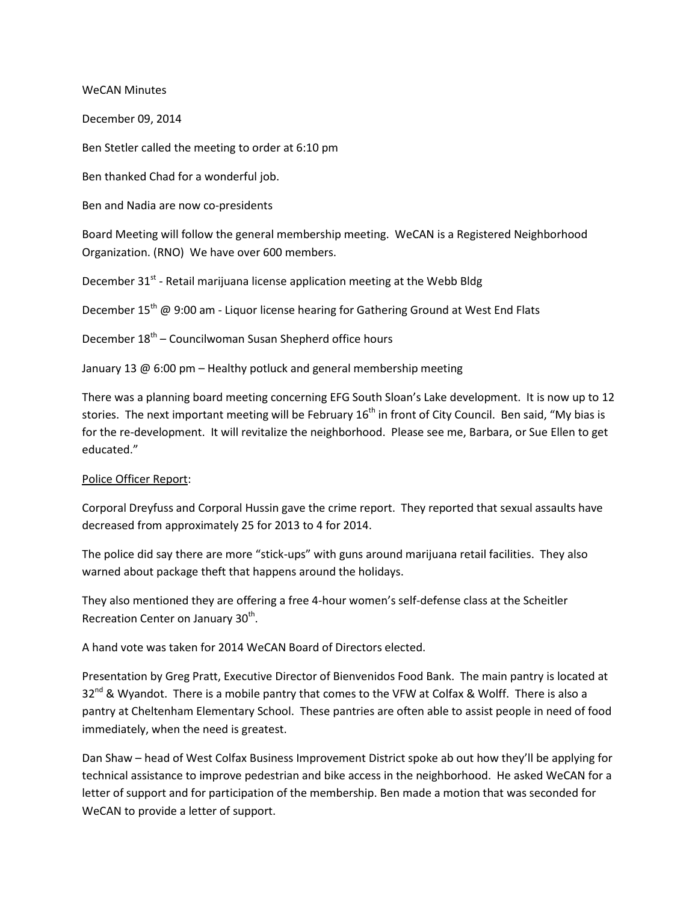WeCAN Minutes

December 09, 2014

Ben Stetler called the meeting to order at 6:10 pm

Ben thanked Chad for a wonderful job.

Ben and Nadia are now co-presidents

Board Meeting will follow the general membership meeting. WeCAN is a Registered Neighborhood Organization. (RNO) We have over 600 members.

December  $31<sup>st</sup>$  - Retail marijuana license application meeting at the Webb Bldg

December 15<sup>th</sup> @ 9:00 am - Liquor license hearing for Gathering Ground at West End Flats

December  $18<sup>th</sup>$  – Councilwoman Susan Shepherd office hours

January 13 @ 6:00 pm – Healthy potluck and general membership meeting

There was a planning board meeting concerning EFG South Sloan's Lake development. It is now up to 12 stories. The next important meeting will be February  $16<sup>th</sup>$  in front of City Council. Ben said, "My bias is for the re-development. It will revitalize the neighborhood. Please see me, Barbara, or Sue Ellen to get educated."

## Police Officer Report:

Corporal Dreyfuss and Corporal Hussin gave the crime report. They reported that sexual assaults have decreased from approximately 25 for 2013 to 4 for 2014.

The police did say there are more "stick-ups" with guns around marijuana retail facilities. They also warned about package theft that happens around the holidays.

They also mentioned they are offering a free 4-hour women's self-defense class at the Scheitler Recreation Center on January 30<sup>th</sup>.

A hand vote was taken for 2014 WeCAN Board of Directors elected.

Presentation by Greg Pratt, Executive Director of Bienvenidos Food Bank. The main pantry is located at  $32<sup>nd</sup>$  & Wyandot. There is a mobile pantry that comes to the VFW at Colfax & Wolff. There is also a pantry at Cheltenham Elementary School. These pantries are often able to assist people in need of food immediately, when the need is greatest.

Dan Shaw – head of West Colfax Business Improvement District spoke ab out how they'll be applying for technical assistance to improve pedestrian and bike access in the neighborhood. He asked WeCAN for a letter of support and for participation of the membership. Ben made a motion that was seconded for WeCAN to provide a letter of support.